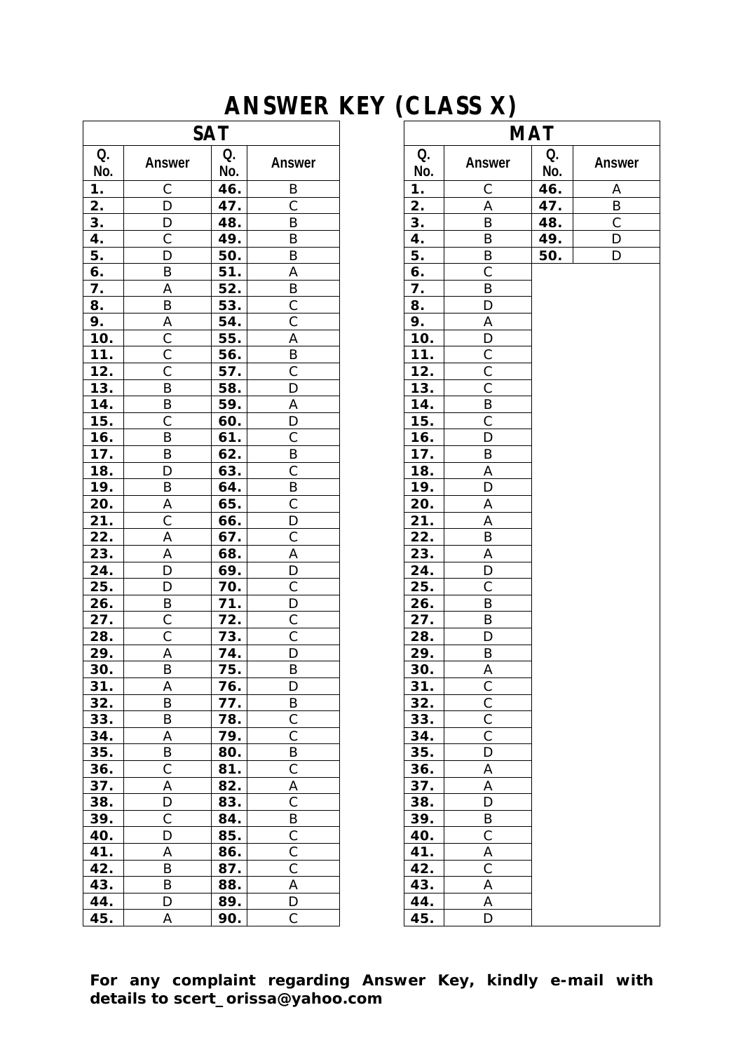## **ANSWER KEY (CLASS X)**

| <b>SAT</b> |                |           | <b>MAT</b>         |           |                |           |                |
|------------|----------------|-----------|--------------------|-----------|----------------|-----------|----------------|
| Q.<br>No.  | Answer         | Q.<br>No. | Answer             | Q.<br>No. | Answer         | Q.<br>No. | Ansy           |
| 1.         | С              | 46.       | B                  | 1.        | C              | 46.       | $\overline{A}$ |
| 2.         | D              | 47.       | $\mathsf{C}$       | 2.        | Α              | 47.       | B              |
| 3.         | D              | 48.       | B                  | 3.        | B              | 48.       | $\mathsf{C}$   |
| 4.         | $\mathsf C$    | 49.       | B                  | 4.        | B              | 49.       | D              |
| 5.         | D              | 50.       | B                  | 5.        | $\sf B$        | 50.       | D              |
| 6.         | B              | 51.       | Α                  | 6.        | $\mathsf{C}$   |           |                |
| 7.         | А              | 52.       | B                  | 7.        | B              |           |                |
| 8.         | B              | 53.       | $\mathsf C$        | 8.        | D              |           |                |
| 9.         | A              | 54.       | $\overline{\rm c}$ | 9.        | A              |           |                |
| 10.        | С              | 55.       | Α                  | 10.       | D              |           |                |
| 11.        | $\mathsf C$    | 56.       | B                  | 11.       | $\mathsf C$    |           |                |
| 12.        | $\overline{C}$ | 57.       | $\mathsf{C}$       | 12.       | $\overline{C}$ |           |                |
| 13.        | B              | 58.       | D                  | 13.       | $\mathsf C$    |           |                |
| 14.        | B              | 59.       | Α                  | 14.       | B              |           |                |
| 15.        | $\mathsf C$    | 60.       | D                  | 15.       | $\mathsf C$    |           |                |
| 16.        | B              | 61.       | $\mathsf C$        | 16.       | D              |           |                |
| 17.        | B              | 62.       | B                  | 17.       | $\sf B$        |           |                |
| 18.        | D              | 63.       | $\mathsf C$        | 18.       | $\sf A$        |           |                |
| 19.        | B              | 64.       | B                  | 19.       | D              |           |                |
| 20.        | Α              | 65.       | C                  | 20.       | Α              |           |                |
| 21.        | $\overline{C}$ | 66.       | D                  | 21.       | Α              |           |                |
| 22.        | A              | 67.       | $\mathsf{C}$       | 22.       | B              |           |                |
| 23.        | А              | 68.       | Α                  | 23.       | Α              |           |                |
| 24.        | D              | 69.       | D                  | 24.       | $\mathsf D$    |           |                |
| 25.        | D              | 70.       | $\mathsf C$        | 25.       | $\mathsf{C}$   |           |                |
| 26.        | B              | 71.       | D                  | 26.       | B              |           |                |
| 27.        | $\mathsf C$    | 72.       | $\mathsf C$        | 27.       | B              |           |                |
| 28.        | $\mathsf{C}$   | 73.       | $\overline{C}$     | 28.       | D              |           |                |
| 29.        | Α              | 74.       | D                  | 29.       | B              |           |                |
| 30.        | B              | 75.       | B                  | 30.       | Α              |           |                |
| 31.        | Α              | 76.       | D                  | 31.       | $\mathsf C$    |           |                |
| 32.        | B              | 77.       | B                  | 32.       | $\mathsf{C}$   |           |                |
| 33.        | B              | 78.       | $\mathsf C$        | 33.       | $\overline{C}$ |           |                |
| 34.        | Α              | 79.       | $\overline{C}$     | 34.       | $\overline{C}$ |           |                |
| 35.        | B              | 80.       | B                  | 35.       | D              |           |                |
| 36.        | C              | 81.       | $\mathsf{C}$       | 36.       | Α              |           |                |
| 37.        | A              | 82.       | Α                  | 37.       | $\sf A$        |           |                |
| 38.        | D              | 83.       | $\mathsf C$        | 38.       | D              |           |                |
| 39.        | C              | 84.       | B                  | 39.       | B              |           |                |
| 40.        | D              | 85.       | $\overline{C}$     | 40.       | $\mathsf C$    |           |                |
| 41.        | A              | 86.       | $\mathsf{C}$       | 41.       | A              |           |                |
| 42.        | B              | 87.       | $\mathsf C$        | 42.       | $\mathsf C$    |           |                |
| 43.        | B              | 88.       | Α                  | 43.       | Α              |           |                |
| 44.        | D              | 89.       | D                  | 44.       | Α              |           |                |
| 45.        | Α              | 90.       | C                  | 45.       | D              |           |                |

|            |           | AIVSWER NET (ULASS A) |           |                         |           |              |  |  |  |
|------------|-----------|-----------------------|-----------|-------------------------|-----------|--------------|--|--|--|
| <b>SAT</b> |           |                       |           | <b>MAT</b>              |           |              |  |  |  |
|            | Q.<br>No. | Answer                | Q.<br>No. | <b>Answer</b>           | Q.<br>No. | Answer       |  |  |  |
|            | 46.       | B                     | 1.        | С                       | 46.       | A            |  |  |  |
|            | 47.       | $\mathsf C$           | 2.        | A                       | 47.       | $\sf B$      |  |  |  |
|            | 48.       | B                     | 3.        | B                       | 48.       | $\mathsf{C}$ |  |  |  |
|            | 49.       | Β                     | 4.        | B                       | 49.       | D            |  |  |  |
|            | 50.       | B                     | 5.        | B                       | 50.       | D            |  |  |  |
|            | 51.       | А                     | 6.        | C                       |           |              |  |  |  |
|            | 52.       | Β                     | 7.        | B                       |           |              |  |  |  |
|            | 53.       | $\mathsf{C}$          | 8.        | D                       |           |              |  |  |  |
|            | 54.       | $\overline{\text{C}}$ | 9.        | A                       |           |              |  |  |  |
|            | 55.       | А                     | 10.       | D                       |           |              |  |  |  |
|            | 56.       | Β                     | 11.       | $\mathsf C$             |           |              |  |  |  |
|            | 57.       | $\overline{\text{C}}$ | 12.       | $\overline{\text{C}}$   |           |              |  |  |  |
|            | 58.       | D                     | 13.       | $\overline{C}$          |           |              |  |  |  |
|            | 59.       | A                     | 14.       | B                       |           |              |  |  |  |
|            | 60.       | D                     | 15.       | $\mathsf C$             |           |              |  |  |  |
|            | 61.       | $\mathsf C$           | 16.       | $\mathsf D$             |           |              |  |  |  |
|            | 62.       | B                     | 17.       | B                       |           |              |  |  |  |
|            | 63.       | $\mathsf C$           | 18.       | A                       |           |              |  |  |  |
|            | 64.       | Β                     | 19.       | D                       |           |              |  |  |  |
|            | 65.       | С                     | 20.       | A                       |           |              |  |  |  |
|            | 66.       | D                     | 21.       | Α                       |           |              |  |  |  |
|            | 67.       | $\mathsf{C}$          | 22.       | B                       |           |              |  |  |  |
|            | 68.       | Α                     | 23.       | Α                       |           |              |  |  |  |
|            | 69.       | D                     | 24.       | D                       |           |              |  |  |  |
|            | 70.       | $\mathsf C$           | 25.       | C                       |           |              |  |  |  |
|            | 71.       | D                     | 26.       | B                       |           |              |  |  |  |
|            | 72.       | $\mathsf{C}$          | 27.       | B                       |           |              |  |  |  |
|            | 73.       | $\overline{C}$        | 28.       | D                       |           |              |  |  |  |
|            | 74.       | D                     | 29.       | B                       |           |              |  |  |  |
|            | 75.       | Β                     | 30.       | A                       |           |              |  |  |  |
|            | 76.       | D                     | 31.       | $\overline{\mathrm{C}}$ |           |              |  |  |  |
|            | 77.       | Β                     | 32.       | $\mathsf C$             |           |              |  |  |  |
|            | 78.       | $\overline{C}$        | 33.       | $\overline{C}$          |           |              |  |  |  |
|            | 79.       | $\mathsf C$           | 34.       | $\mathsf C$             |           |              |  |  |  |
|            | 80.       | Β                     | 35.       | D                       |           |              |  |  |  |
|            | 81.       | $\mathsf C$           | 36.       | A                       |           |              |  |  |  |
|            | 82.       | Α                     | 37.       | A                       |           |              |  |  |  |
|            | 83.       | $\mathsf C$           | 38.       | D                       |           |              |  |  |  |
|            | 84.       | B                     | 39.       | B                       |           |              |  |  |  |
|            | 85.       | $\mathsf C$           | 40.       | $\mathsf C$             |           |              |  |  |  |
|            | 86.       | $\mathsf C$           | 41.       | Α                       |           |              |  |  |  |
|            | 87.       | $\mathsf C$           | 42.       | $\mathsf C$             |           |              |  |  |  |
|            | 88.       | A                     | 43.       | Α                       |           |              |  |  |  |
|            | 89.       | D                     | 44.       | Α                       |           |              |  |  |  |
|            | 90.       | C                     | 45.       | D                       |           |              |  |  |  |

**For any complaint regarding Answer Key, kindly e-mail with details to scert\_orissa@yahoo.com**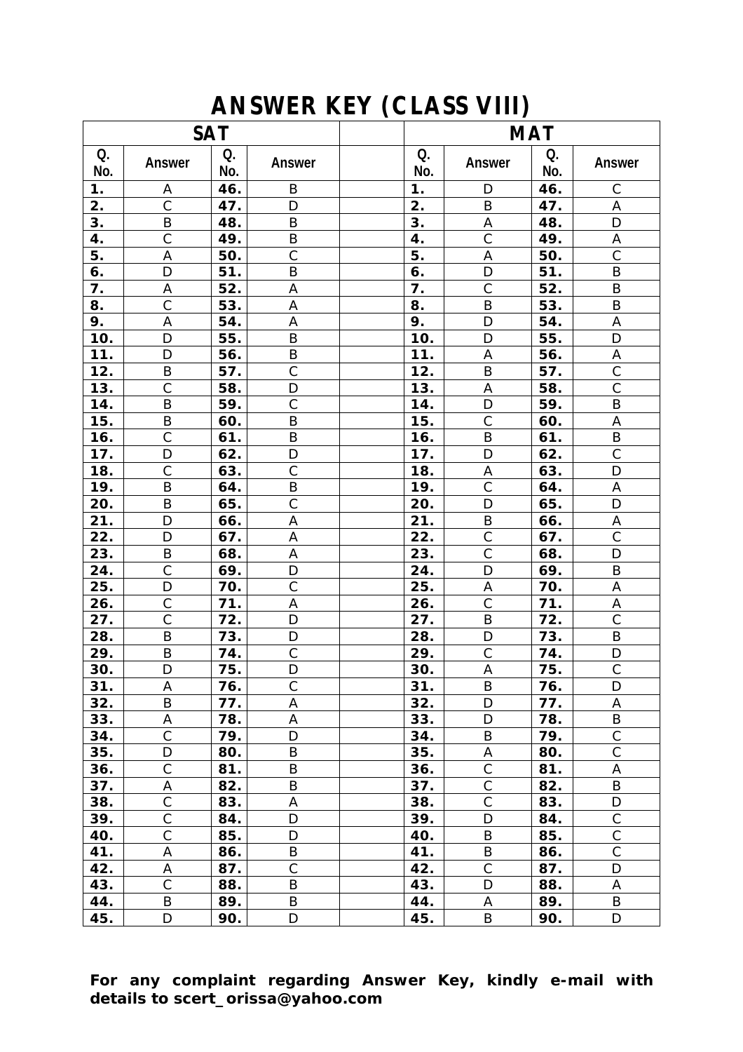## **ANSWER KEY (CLASS VIII)**

| <b>SAT</b>        |                    |            | <b>MAT</b>                  |                        |                   |            |                     |
|-------------------|--------------------|------------|-----------------------------|------------------------|-------------------|------------|---------------------|
| Q.<br>No.         | Answer             | Q.<br>No.  | Answer                      | Q.<br>No.              | <b>Answer</b>     | Q.<br>No.  | <b>Answer</b>       |
| 1.                | Α                  | 46.        | B                           | 1.                     | $\mathsf D$       | 46.        | $\mathsf C$         |
| 2.                | $\mathsf C$        | 47.        | D                           | 2.                     | B                 | 47.        | A                   |
| $\overline{3}$ .  | $\sf B$            | 48.        | $\sf B$                     | 3.                     | $\sf A$           | 48.        | $\mathsf D$         |
| 4.                | $\overline{C}$     | 49.        | $\sf B$                     | 4.                     | $\overline{C}$    | 49.        | $\mathsf A$         |
| 5.                | A                  | 50.        | $\mathsf C$                 | 5.                     | A                 | 50.        | $\mathsf C$         |
| 6.                | D                  | 51.        | B                           | 6.                     | D                 | 51.        | B                   |
| 7.                | A                  | 52.        | A                           | 7.                     | $\mathsf{C}$      | 52.        | B                   |
| 8.                | $\overline{C}$     | 53.        | A                           | 8.                     | B                 | 53.        | B                   |
| 9.                | $\mathsf A$        | 54.        | Α                           | 9.                     | $\mathsf D$       | 54.        | A                   |
| 10.               | D                  | 55.        | $\sf B$                     | 10.                    | $\mathsf D$       | 55.        | $\mathsf D$         |
| 11.               | D                  | 56.        | $\sf B$                     | 11.                    | A                 | 56.        | Α                   |
| 12.               | B                  | 57.        | $\mathsf C$                 | 12.                    | B                 | 57.        | $\overline{C}$      |
| 13.               | $\overline{C}$     | 58.        | D                           | 13.                    | A                 | 58.        | $\overline{C}$      |
| 14.               | $\sf B$            | 59.        | $\mathsf C$                 | 14.                    | $\mathsf{D}$      | 59.        | B                   |
| 15.               | B                  | 60.        | $\sf B$                     | 15.                    | $\mathsf C$       | 60.        | A                   |
| 16.               | $\mathsf C$        | 61.        | $\sf B$                     | 16.                    | B                 | 61.        | B                   |
| 17.               | D                  | 62.        | D                           | 17.                    | D                 | 62.        | $\overline{C}$      |
| 18.               | $\mathsf{C}$       | 63.        | $\mathsf C$                 | 18.                    | A                 | 63.        | D                   |
| 19.               | B                  | 64.        | B                           | 19.                    | $\mathsf{C}$      | 64.        | Α                   |
| 20.               | $\sf B$            | 65.        | $\mathsf{C}$                | 20.                    | D                 | 65.        | $\mathsf D$         |
| 21.               | D                  | 66.        | A                           | 21.                    | B                 | 66.        | A                   |
| 22.               | D                  | 67.        | A                           | 22.                    | $\mathsf C$       | 67.        | $\overline{C}$      |
| 23.               | $\sf B$            | 68.        | A                           | 23.                    | $\mathsf C$       | 68.        | $\mathsf D$         |
| 24.               | $\mathsf C$<br>D   | 69.        | $\mathsf D$<br>$\mathsf{C}$ | 24.                    | D                 | 69.        | $\sf B$             |
| 25.               | $\overline{C}$     | 70.        |                             | 25.                    | A<br>$\mathsf{C}$ | 70.        | A                   |
| <u>26.</u><br>27. | $\overline{C}$     | 71.<br>72. | $\mathsf A$<br>D            | <u>26.</u><br>$27_{.}$ | $\sf B$           | 71.<br>72. | A<br>$\overline{C}$ |
| 28.               | $\sf B$            | 73.        | D                           | 28.                    | D                 | 73.        | B                   |
| 29.               | $\sf B$            | 74.        | $\mathsf C$                 | 29.                    | $\mathsf C$       | 74.        | D                   |
| 30.               | D                  | 75.        | D                           | 30.                    | A                 | 75.        | $\overline{C}$      |
| 31.               | A                  | 76.        | С                           | 31.                    | B                 | 76.        | D                   |
| 32.               | B                  | 77.        | A                           | 32.                    | D                 | 77.        | A                   |
| 33.               | Α                  | 78.        | A                           | 33.                    | D                 | 78.        | B                   |
| 34.               | $\mathsf C$        | 79.        | D                           | 34.                    | B                 | 79.        | $\mathsf{C}$        |
| 35.               | D                  | 80.        | B                           | 35.                    | Α                 | 80.        | $\mathsf C$         |
| 36.               | $\overline{C}$     | 81.        | B                           | 36.                    | $\mathsf C$       | 81.        | Α                   |
| 37.               | А                  | 82.        | B                           | 37.                    | $\mathsf C$       | 82.        | B                   |
| 38.               | $\mathsf C$        | 83.        | A                           | 38.                    | $\mathsf C$       | 83.        | D                   |
| 39.               | $\overline{\rm C}$ | 84.        | D                           | 39.                    | $\mathsf D$       | 84.        | $\mathsf C$         |
| 40.               | $\mathsf C$        | 85.        | D                           | 40.                    | B                 | 85.        | $\mathsf C$         |
| 41.               | A                  | 86.        | B                           | 41.                    | $\sf B$           | 86.        | $\overline{C}$      |
| 42.               | Α                  | 87.        | $\mathsf C$                 | 42.                    | $\mathsf C$       | 87.        | D                   |
| 43.               | $\mathsf C$        | 88.        | B                           | 43.                    | D                 | 88.        | A                   |
| 44.               | B                  | 89.        | B                           | 44.                    | Α                 | 89.        | B                   |
| 45.               | D                  | 90.        | D                           | 45.                    | B                 | 90.        | D                   |

**For any complaint regarding Answer Key, kindly e-mail with details to scert\_orissa@yahoo.com**